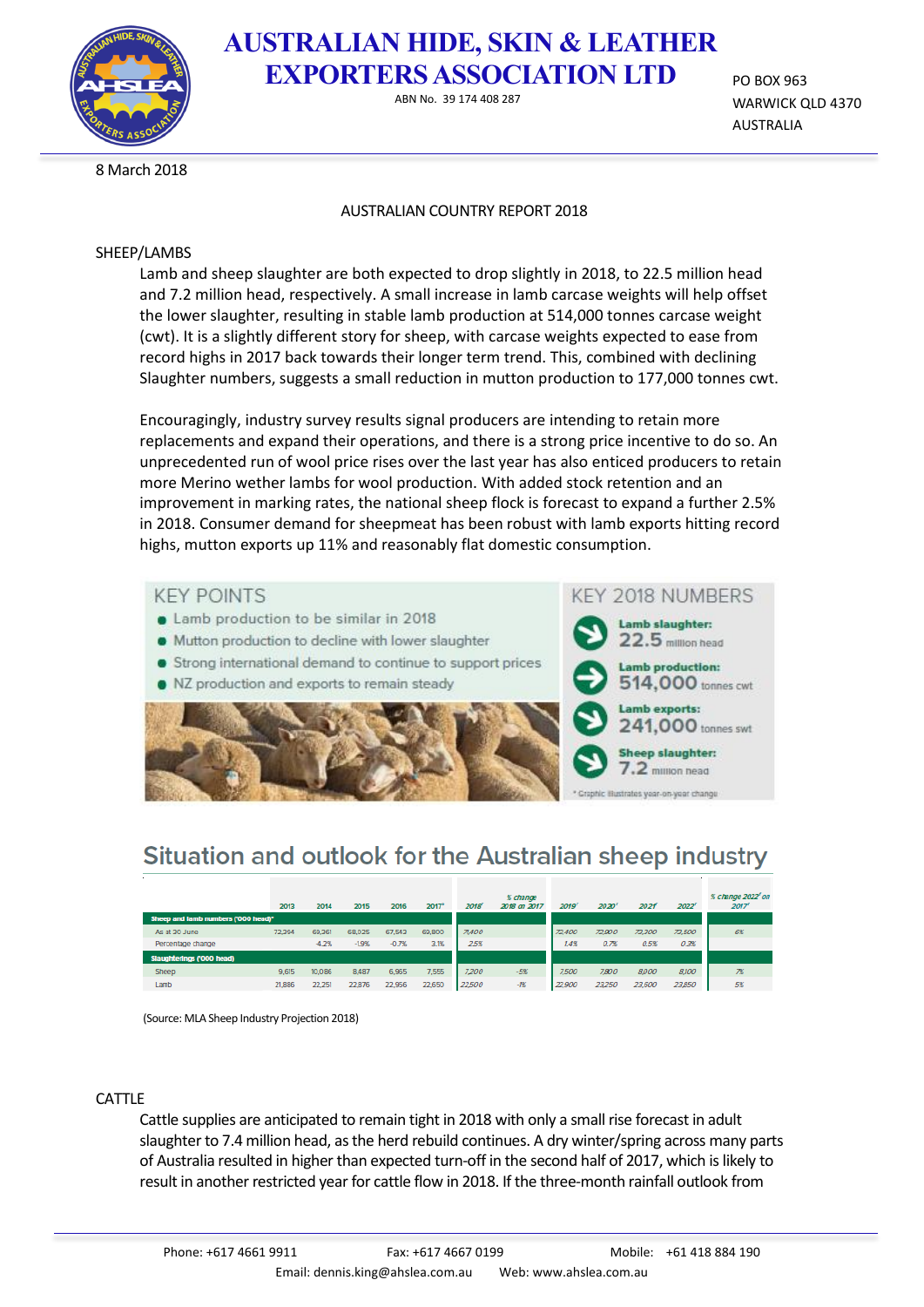

### **AUSTRALIAN HIDE, SKIN & LEATHER EXPORTERS ASSOCIATION LTD**

ABN No. 39 174 408 287

PO BOX 963 WARWICK QLD 4370 AUSTRALIA

8 March 2018

### AUSTRALIAN COUNTRY REPORT 2018

### SHEEP/LAMBS

Lamb and sheep slaughter are both expected to drop slightly in 2018, to 22.5 million head and 7.2 million head, respectively. A small increase in lamb carcase weights will help offset the lower slaughter, resulting in stable lamb production at 514,000 tonnes carcase weight (cwt). It is a slightly different story for sheep, with carcase weights expected to ease from record highs in 2017 back towards their longer term trend. This, combined with declining Slaughter numbers, suggests a small reduction in mutton production to 177,000 tonnes cwt.

Encouragingly, industry survey results signal producers are intending to retain more replacements and expand their operations, and there is a strong price incentive to do so. An unprecedented run of wool price rises over the last year has also enticed producers to retain more Merino wether lambs for wool production. With added stock retention and an improvement in marking rates, the national sheep flock is forecast to expand a further 2.5% in 2018. Consumer demand for sheepmeat has been robust with lamb exports hitting record highs, mutton exports up 11% and reasonably flat domestic consumption.



# Situation and outlook for the Australian sheep industry

|                                     | 2013   | 2014    | 2015    | 2016    | $2017$ <sup>e</sup> | 2018' | % change<br>2018 on 2017 | 2019   | 2020'  | 202f   | 2022   | % change 2022' on<br>2017' |
|-------------------------------------|--------|---------|---------|---------|---------------------|-------|--------------------------|--------|--------|--------|--------|----------------------------|
| Sheep and lamb numbers ('000 head)' |        |         |         |         |                     |       |                          |        |        |        |        |                            |
| As at 30 June                       | 72.394 | 69,361  | 68,025  | 67,543  | 69,800              | 71400 |                          | 72,400 | 72,900 | 73,300 | 73,500 | 6%                         |
| Percentage change                   |        | $-4.2%$ | $-1.9%$ | $-0.7%$ | 3.1%                | 25%   |                          | 14%    | 0.78   | 0.5%   | 0.3%   |                            |
| Slaughterings ('000 head)           |        |         |         |         |                     |       |                          |        |        |        |        |                            |
| Sheep                               | 9,615  | 10,086  | 8,487   | 6,965   | 7,555               | 7,200 | $-5%$                    | 7,500  | 7.800  | 8,000  | 8,100  | 7%                         |
| Lamb                                | 21,886 | 22.251  | 22,876  | 22.956  | 22,650              | 22500 | $-125$                   | 22,900 | 23,250 | 23,600 | 23,850 | 5%                         |

(Source: MLA Sheep Industry Projection 2018)

### CATTLE

Cattle supplies are anticipated to remain tight in 2018 with only a small rise forecast in adult slaughter to 7.4 million head, asthe herd rebuild continues. A dry winter/spring across many parts of Australia resulted in higher than expected turn-off in the second half of 2017, which is likely to result in another restricted year for cattle flow in 2018. If the three-month rainfall outlook from